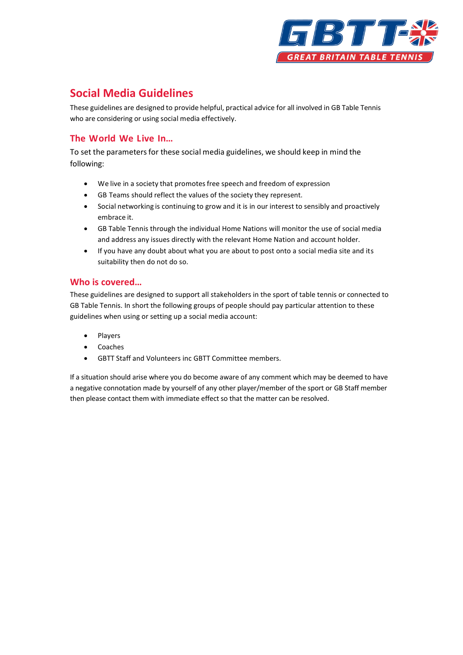

# **Social Media Guidelines**

These guidelines are designed to provide helpful, practical advice for all involved in GB Table Tennis who are considering or using social media effectively.

## **The World We Live In…**

To set the parameters for these social media guidelines, we should keep in mind the following:

- We live in a society that promotes free speech and freedom of expression
- GB Teams should reflect the values of the society they represent.
- Social networking is continuing to grow and it is in our interest to sensibly and proactively embrace it.
- GB Table Tennis through the individual Home Nations will monitor the use of social media and address any issues directly with the relevant Home Nation and account holder.
- If you have any doubt about what you are about to post onto a social media site and its suitability then do not do so.

### **Who is covered…**

These guidelines are designed to support all stakeholders in the sport of table tennis or connected to GB Table Tennis. In short the following groups of people should pay particular attention to these guidelines when using or setting up a social media account:

- **Players**
- Coaches
- GBTT Staff and Volunteers inc GBTT Committee members.

If a situation should arise where you do become aware of any comment which may be deemed to have a negative connotation made by yourself of any other player/member of the sport or GB Staff member then please contact them with immediate effect so that the matter can be resolved.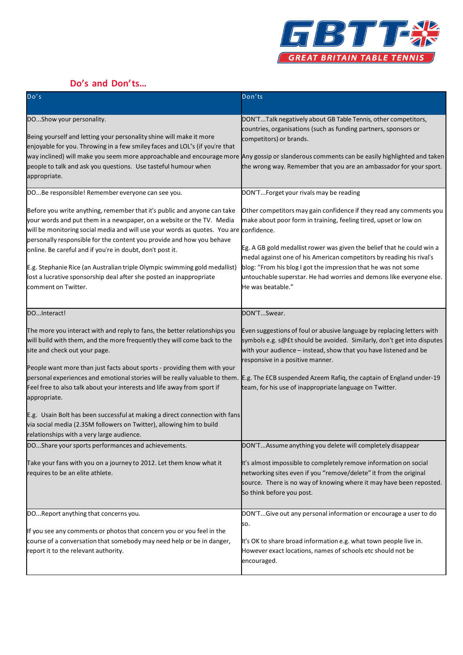

# **Do's and Don'ts…**

| Do's                                                                                                                                                                                                                                                                                                                                                                                                                                                                                                                                                          | Don'ts                                                                                                                                                                                                                                                                                                                                                                                                                                                   |
|---------------------------------------------------------------------------------------------------------------------------------------------------------------------------------------------------------------------------------------------------------------------------------------------------------------------------------------------------------------------------------------------------------------------------------------------------------------------------------------------------------------------------------------------------------------|----------------------------------------------------------------------------------------------------------------------------------------------------------------------------------------------------------------------------------------------------------------------------------------------------------------------------------------------------------------------------------------------------------------------------------------------------------|
| DOShow your personality.<br>Being yourself and letting your personality shine will make it more<br>enjoyable for you. Throwing in a few smiley faces and LOL"s (if you're that<br>way inclined) will make you seem more approachable and encourage more Any gossip or slanderous comments can be easily highlighted and taken<br>people to talk and ask you questions. Use tasteful humour when<br>appropriate.                                                                                                                                               | DON'TTalk negatively about GB Table Tennis, other competitors,<br>countries, organisations (such as funding partners, sponsors or<br>competitors) or brands.<br>the wrong way. Remember that you are an ambassador for your sport.                                                                                                                                                                                                                       |
| DOBe responsible! Remember everyone can see you.                                                                                                                                                                                                                                                                                                                                                                                                                                                                                                              | DON'TForget your rivals may be reading                                                                                                                                                                                                                                                                                                                                                                                                                   |
| Before you write anything, remember that it's public and anyone can take<br>your words and put them in a newspaper, on a website or the TV. Media<br>will be monitoring social media and will use your words as quotes. You are confidence.<br>personally responsible for the content you provide and how you behave<br>online. Be careful and if you're in doubt, don't post it.<br>E.g. Stephanie Rice (an Australian triple Olympic swimming gold medallist)<br>lost a lucrative sponsorship deal after she posted an inappropriate<br>comment on Twitter. | Other competitors may gain confidence if they read any comments you<br>make about poor form in training, feeling tired, upset or low on<br>Eg. A GB gold medallist rower was given the belief that he could win a<br>medal against one of his American competitors by reading his rival's<br>blog: "From his blog I got the impression that he was not some<br>untouchable superstar. He had worries and demons like everyone else.<br>He was beatable." |
| DOInteract!                                                                                                                                                                                                                                                                                                                                                                                                                                                                                                                                                   | DON'TSwear.                                                                                                                                                                                                                                                                                                                                                                                                                                              |
| The more you interact with and reply to fans, the better relationships you<br>will build with them, and the more frequently they will come back to the<br>site and check out your page.<br>People want more than just facts about sports - providing them with your<br>personal experiences and emotional stories will be really valuable to them.<br>Feel free to also talk about your interests and life away from sport if<br>appropriate.                                                                                                                 | Even suggestions of foul or abusive language by replacing letters with<br>symbols e.g. s@ft should be avoided. Similarly, don't get into disputes<br>with your audience - instead, show that you have listened and be<br>responsive in a positive manner.<br>E.g. The ECB suspended Azeem Rafiq, the captain of England under-19<br>team, for his use of inappropriate language on Twitter.                                                              |
| E.g. Usain Bolt has been successful at making a direct connection with fans<br>via social media (2.35M followers on Twitter), allowing him to build<br>relationships with a very large audience.                                                                                                                                                                                                                                                                                                                                                              |                                                                                                                                                                                                                                                                                                                                                                                                                                                          |
| DOShare your sports performances and achievements.                                                                                                                                                                                                                                                                                                                                                                                                                                                                                                            | DON'TAssume anything you delete will completely disappear                                                                                                                                                                                                                                                                                                                                                                                                |
| Take your fans with you on a journey to 2012. Let them know what it<br>requires to be an elite athlete.                                                                                                                                                                                                                                                                                                                                                                                                                                                       | It's almost impossible to completely remove information on social<br>networking sites even if you "remove/delete" it from the original<br>source. There is no way of knowing where it may have been reposted.<br>So think before you post.                                                                                                                                                                                                               |
| DOReport anything that concerns you.                                                                                                                                                                                                                                                                                                                                                                                                                                                                                                                          | DON'TGive out any personal information or encourage a user to do                                                                                                                                                                                                                                                                                                                                                                                         |
| If you see any comments or photos that concern you or you feel in the<br>course of a conversation that somebody may need help or be in danger,<br>report it to the relevant authority.                                                                                                                                                                                                                                                                                                                                                                        | SO.<br>It's OK to share broad information e.g. what town people live in.<br>However exact locations, names of schools etc should not be<br>encouraged.                                                                                                                                                                                                                                                                                                   |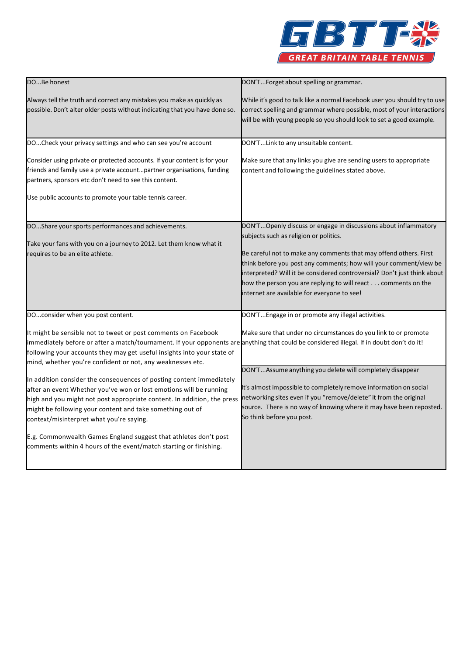

| DOBe honest                                                                                                                                                                                                                                                                                                                                                                                                                                                             | DON'TForget about spelling or grammar.                                                                                                                                                                                                                                                                                                                                                                                                          |
|-------------------------------------------------------------------------------------------------------------------------------------------------------------------------------------------------------------------------------------------------------------------------------------------------------------------------------------------------------------------------------------------------------------------------------------------------------------------------|-------------------------------------------------------------------------------------------------------------------------------------------------------------------------------------------------------------------------------------------------------------------------------------------------------------------------------------------------------------------------------------------------------------------------------------------------|
| Always tell the truth and correct any mistakes you make as quickly as<br>possible. Don't alter older posts without indicating that you have done so.                                                                                                                                                                                                                                                                                                                    | While it's good to talk like a normal Facebook user you should try to use<br>correct spelling and grammar where possible, most of your interactions<br>will be with young people so you should look to set a good example.                                                                                                                                                                                                                      |
| DOCheck your privacy settings and who can see you're account                                                                                                                                                                                                                                                                                                                                                                                                            | DON'TLink to any unsuitable content.                                                                                                                                                                                                                                                                                                                                                                                                            |
| Consider using private or protected accounts. If your content is for your<br>friends and family use a private accountpartner organisations, funding<br>partners, sponsors etc don't need to see this content.<br>Use public accounts to promote your table tennis career.                                                                                                                                                                                               | Make sure that any links you give are sending users to appropriate<br>content and following the guidelines stated above.                                                                                                                                                                                                                                                                                                                        |
| DOShare your sports performances and achievements.<br>Take your fans with you on a journey to 2012. Let them know what it<br>requires to be an elite athlete.                                                                                                                                                                                                                                                                                                           | DON'TOpenly discuss or engage in discussions about inflammatory<br>subjects such as religion or politics.<br>Be careful not to make any comments that may offend others. First<br>think before you post any comments; how will your comment/view be<br>interpreted? Will it be considered controversial? Don't just think about<br>how the person you are replying to will react comments on the<br>internet are available for everyone to see! |
| DOconsider when you post content.                                                                                                                                                                                                                                                                                                                                                                                                                                       | DON'TEngage in or promote any illegal activities.                                                                                                                                                                                                                                                                                                                                                                                               |
| It might be sensible not to tweet or post comments on Facebook<br>immediately before or after a match/tournament. If your opponents are anything that could be considered illegal. If in doubt don't do it!<br>following your accounts they may get useful insights into your state of<br>mind, whether you're confident or not, any weaknesses etc.                                                                                                                    | Make sure that under no circumstances do you link to or promote                                                                                                                                                                                                                                                                                                                                                                                 |
| In addition consider the consequences of posting content immediately<br>after an event Whether you've won or lost emotions will be running<br>high and you might not post appropriate content. In addition, the press<br>might be following your content and take something out of<br>context/misinterpret what you're saying.<br>E.g. Commonwealth Games England suggest that athletes don't post<br>comments within 4 hours of the event/match starting or finishing. | DON'TAssume anything you delete will completely disappear<br>It's almost impossible to completely remove information on social<br>networking sites even if you "remove/delete" it from the original<br>source. There is no way of knowing where it may have been reposted.<br>So think before you post.                                                                                                                                         |